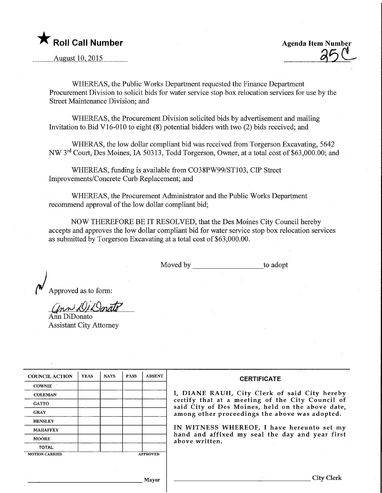

Agenda Item Number

August 10, 2015.

WHEREAS, the Public Works Department requested the Finance Department Procurement Division to solicit bids for water service stop box relocation services for use by the Street Maintenance Division; and

WHEREAS, the Procurement Division solicited bids by advertisement and mailing Invitation to Bid V16-010 to eight  $(8)$  potential bidders with two  $(2)$  bids received; and

WHERAS, the low dollar compliant bid was received from Torgerson Excavating, 5642 NW 3<sup>rd</sup> Court, Des Moines, IA 50313, Todd Torgerson, Owner, at a total cost of \$63,000.00; and

WHEREAS, funding is available from C038PW99/ST103, CIP Street Improvements/Concrete Curb Replacement; and

WHEREAS, the Procurement Administrator and the Public Works Department recommend approval of the low dollar compliant bid;

NOW THEREFORE BE IT RESOLVED, that the Des Moines City Council hereby accepts and approves the low dollar compliant bid for water service stop box relocation services as submitted by Torgerson Excavating at a total cost of \$63,000.00.

Moved by to adopt

 $\overline{\mathcal{M}}$  Approved as to form:

 $Q_{\mu\nu}$  D/D  $Q_{\mu\nu}$ Ann DiDonato

Assistant City Attorney

| <b>COUNCIL ACTION</b>                    | <b>YEAS</b> | <b>NAYS</b> | <b>PASS</b> | <b>ABSENT</b> | <b>CERTIFICATE</b>                                                                                                                                    |  |  |  |  |  |  |
|------------------------------------------|-------------|-------------|-------------|---------------|-------------------------------------------------------------------------------------------------------------------------------------------------------|--|--|--|--|--|--|
| <b>COWNIE</b>                            |             |             |             |               |                                                                                                                                                       |  |  |  |  |  |  |
| <b>COLEMAN</b>                           |             |             |             |               | I, DIANE RAUH, City Clerk of said City hereby<br>certify that at a meeting of the City Council of<br>said City of Des Moines, held on the above date, |  |  |  |  |  |  |
| <b>GATTO</b>                             |             |             |             |               |                                                                                                                                                       |  |  |  |  |  |  |
| <b>GRAY</b>                              |             |             |             |               | among other proceedings the above was adopted.                                                                                                        |  |  |  |  |  |  |
| <b>HENSLEY</b>                           |             |             |             |               |                                                                                                                                                       |  |  |  |  |  |  |
| <b>MAHAFFEY</b>                          |             |             |             |               | IN WITNESS WHEREOF, I have hereunto set my                                                                                                            |  |  |  |  |  |  |
| <b>MOORE</b>                             |             |             |             |               | hand and affixed my seal the day and year first<br>above written.                                                                                     |  |  |  |  |  |  |
| <b>TOTAL</b>                             |             |             |             |               |                                                                                                                                                       |  |  |  |  |  |  |
| <b>APPROVED</b><br><b>MOTION CARRIED</b> |             |             |             |               |                                                                                                                                                       |  |  |  |  |  |  |
|                                          |             |             |             |               |                                                                                                                                                       |  |  |  |  |  |  |
|                                          |             |             |             |               |                                                                                                                                                       |  |  |  |  |  |  |
| <b>Mavor</b>                             |             |             |             |               | City C                                                                                                                                                |  |  |  |  |  |  |